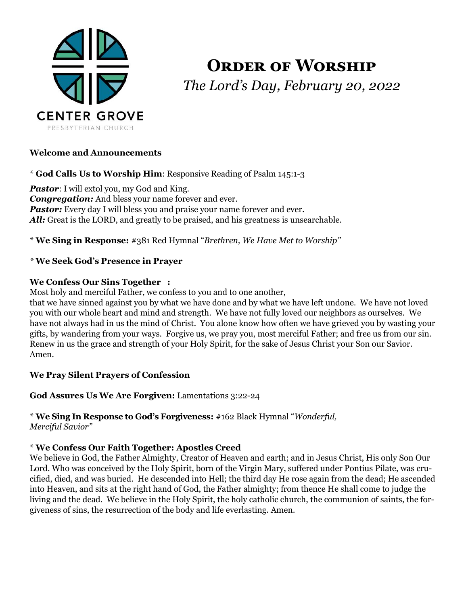

**ORDER OF WORSHIP** *The Lord's Day, February 20, 2022*

# **Welcome and Announcements**

\* **God Calls Us to Worship Him**: Responsive Reading of Psalm 145:1-3

**Pastor:** I will extol you, my God and King. *Congregation:* And bless your name forever and ever. **Pastor:** Every day I will bless you and praise your name forever and ever. All: Great is the LORD, and greatly to be praised, and his greatness is unsearchable.

\* **We Sing in Response:** #381 Red Hymnal "*Brethren, We Have Met to Worship"*

## *\** **We Seek God's Presence in Prayer**

## **We Confess Our Sins Together :**

Most holy and merciful Father, we confess to you and to one another,

that we have sinned against you by what we have done and by what we have left undone. We have not loved you with our whole heart and mind and strength. We have not fully loved our neighbors as ourselves. We have not always had in us the mind of Christ. You alone know how often we have grieved you by wasting your gifts, by wandering from your ways. Forgive us, we pray you, most merciful Father; and free us from our sin. Renew in us the grace and strength of your Holy Spirit, for the sake of Jesus Christ your Son our Savior. Amen.

### **We Pray Silent Prayers of Confession**

**God Assures Us We Are Forgiven:** Lamentations 3:22-24

### \* **We Sing In Response to God's Forgiveness:** #162 Black Hymnal "*Wonderful, Merciful Savior"*

# \* **We Confess Our Faith Together: Apostles Creed**

We believe in God, the Father Almighty, Creator of Heaven and earth; and in Jesus Christ, His only Son Our Lord. Who was conceived by the Holy Spirit, born of the Virgin Mary, suffered under Pontius Pilate, was crucified, died, and was buried. He descended into Hell; the third day He rose again from the dead; He ascended into Heaven, and sits at the right hand of God, the Father almighty; from thence He shall come to judge the living and the dead. We believe in the Holy Spirit, the holy catholic church, the communion of saints, the forgiveness of sins, the resurrection of the body and life everlasting. Amen.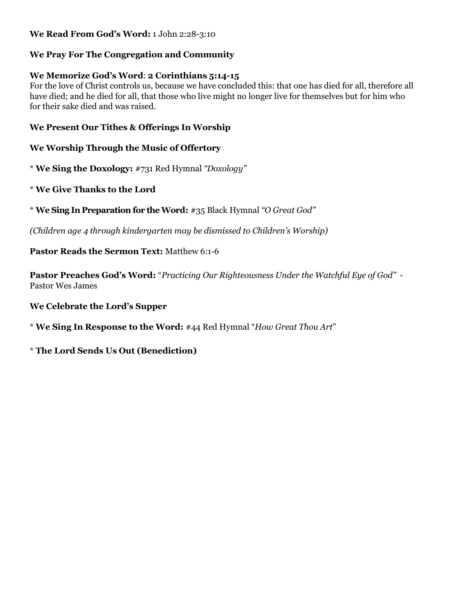# **We Read From God's Word:** 1 John 2:28-3:10

# **We Pray For The Congregation and Community**

## **We Memorize God's Word**: **2 Corinthians 5:14-15**

For the love of Christ controls us, because we have concluded this: that one has died for all, therefore all have died; and he died for all, that those who live might no longer live for themselves but for him who for their sake died and was raised.

## **We Present Our Tithes & Offerings In Worship**

## **We Worship Through the Music of Offertory**

\* **We Sing the Doxology:** #731 Red Hymnal *"Doxology"*

- \* **We Give Thanks to the Lord**
- \* **We Sing In Preparation for the Word:** #35 Black Hymnal *"O Great God"*

*(Children age 4 through kindergarten may be dismissed to Children's Worship)*

## **Pastor Reads the Sermon Text:** Matthew 6:1-6

**Pastor Preaches God's Word:** "*Practicing Our Righteousness Under the Watchful Eye of God"* - Pastor Wes James

### **We Celebrate the Lord's Supper**

\* **We Sing In Response to the Word:** #44 Red Hymnal "*How Great Thou Art*"

\* **The Lord Sends Us Out (Benediction)**